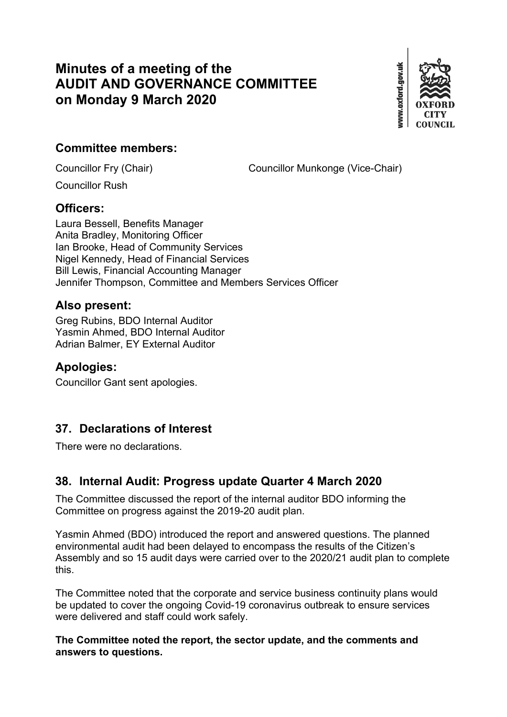# **Minutes of a meeting of the AUDIT AND GOVERNANCE COMMITTEE on Monday 9 March 2020**



## **Committee members:**

Councillor Fry (Chair) Councillor Munkonge (Vice-Chair)

Councillor Rush

### **Officers:**

Laura Bessell, Benefits Manager Anita Bradley, Monitoring Officer Ian Brooke, Head of Community Services Nigel Kennedy, Head of Financial Services Bill Lewis, Financial Accounting Manager Jennifer Thompson, Committee and Members Services Officer

### **Also present:**

Greg Rubins, BDO Internal Auditor Yasmin Ahmed, BDO Internal Auditor Adrian Balmer, EY External Auditor

### **Apologies:**

Councillor Gant sent apologies.

## **37. Declarations of Interest**

There were no declarations.

## **38. Internal Audit: Progress update Quarter 4 March 2020**

The Committee discussed the report of the internal auditor BDO informing the Committee on progress against the 2019-20 audit plan.

Yasmin Ahmed (BDO) introduced the report and answered questions. The planned environmental audit had been delayed to encompass the results of the Citizen's Assembly and so 15 audit days were carried over to the 2020/21 audit plan to complete this.

The Committee noted that the corporate and service business continuity plans would be updated to cover the ongoing Covid-19 coronavirus outbreak to ensure services were delivered and staff could work safely.

**The Committee noted the report, the sector update, and the comments and answers to questions.**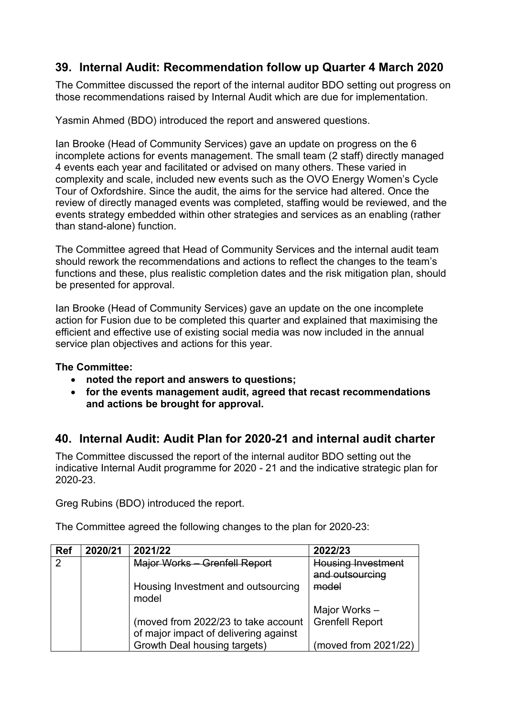## **39. Internal Audit: Recommendation follow up Quarter 4 March 2020**

The Committee discussed the report of the internal auditor BDO setting out progress on those recommendations raised by Internal Audit which are due for implementation.

Yasmin Ahmed (BDO) introduced the report and answered questions.

Ian Brooke (Head of Community Services) gave an update on progress on the 6 incomplete actions for events management. The small team (2 staff) directly managed 4 events each year and facilitated or advised on many others. These varied in complexity and scale, included new events such as the OVO Energy Women's Cycle Tour of Oxfordshire. Since the audit, the aims for the service had altered. Once the review of directly managed events was completed, staffing would be reviewed, and the events strategy embedded within other strategies and services as an enabling (rather than stand-alone) function.

The Committee agreed that Head of Community Services and the internal audit team should rework the recommendations and actions to reflect the changes to the team's functions and these, plus realistic completion dates and the risk mitigation plan, should be presented for approval.

Ian Brooke (Head of Community Services) gave an update on the one incomplete action for Fusion due to be completed this quarter and explained that maximising the efficient and effective use of existing social media was now included in the annual service plan objectives and actions for this year.

#### **The Committee:**

- **noted the report and answers to questions;**
- **for the events management audit, agreed that recast recommendations and actions be brought for approval.**

## **40. Internal Audit: Audit Plan for 2020-21 and internal audit charter**

The Committee discussed the report of the internal auditor BDO setting out the indicative Internal Audit programme for 2020 - 21 and the indicative strategic plan for 2020-23.

Greg Rubins (BDO) introduced the report.

The Committee agreed the following changes to the plan for 2020-23:

| <b>Ref</b> | 2020/21 | 2021/22                                     | 2022/23                   |
|------------|---------|---------------------------------------------|---------------------------|
| 2          |         | Major Works - Grenfell Report               | <b>Housing Investment</b> |
|            |         |                                             | and outsourcing           |
|            |         | Housing Investment and outsourcing<br>model | model                     |
|            |         |                                             | Major Works -             |
|            |         | (moved from 2022/23 to take account         | <b>Grenfell Report</b>    |
|            |         | of major impact of delivering against       |                           |
|            |         | Growth Deal housing targets)                | (moved from 2021/22)      |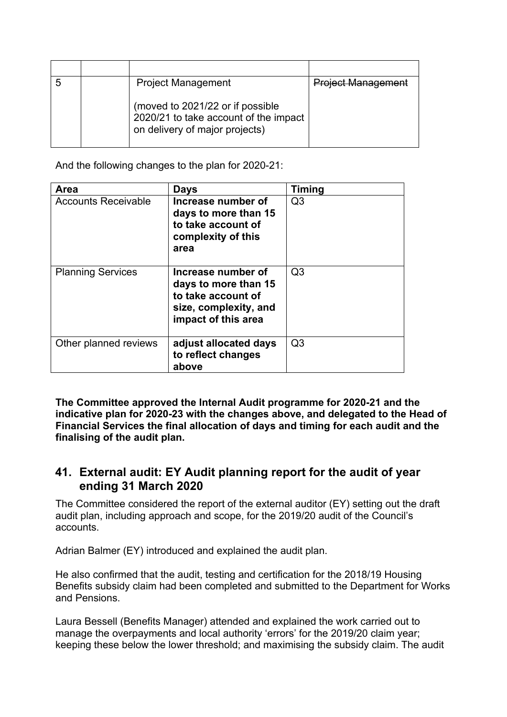|  | <b>Project Management</b>                                                                                   | <b>Project Management</b> |
|--|-------------------------------------------------------------------------------------------------------------|---------------------------|
|  | (moved to 2021/22 or if possible<br>2020/21 to take account of the impact<br>on delivery of major projects) |                           |

And the following changes to the plan for 2020-21:

| <b>Area</b>                | <b>Days</b>                                                                                                      | <b>Timing</b>  |
|----------------------------|------------------------------------------------------------------------------------------------------------------|----------------|
| <b>Accounts Receivable</b> | Increase number of<br>days to more than 15<br>to take account of<br>complexity of this<br>area                   | Q <sub>3</sub> |
| <b>Planning Services</b>   | Increase number of<br>days to more than 15<br>to take account of<br>size, complexity, and<br>impact of this area | Q <sub>3</sub> |
| Other planned reviews      | adjust allocated days<br>to reflect changes<br>above                                                             | Q <sub>3</sub> |

**The Committee approved the Internal Audit programme for 2020-21 and the indicative plan for 2020-23 with the changes above, and delegated to the Head of Financial Services the final allocation of days and timing for each audit and the finalising of the audit plan.**

### **41. External audit: EY Audit planning report for the audit of year ending 31 March 2020**

The Committee considered the report of the external auditor (EY) setting out the draft audit plan, including approach and scope, for the 2019/20 audit of the Council's accounts.

Adrian Balmer (EY) introduced and explained the audit plan.

He also confirmed that the audit, testing and certification for the 2018/19 Housing Benefits subsidy claim had been completed and submitted to the Department for Works and Pensions.

Laura Bessell (Benefits Manager) attended and explained the work carried out to manage the overpayments and local authority 'errors' for the 2019/20 claim year; keeping these below the lower threshold; and maximising the subsidy claim. The audit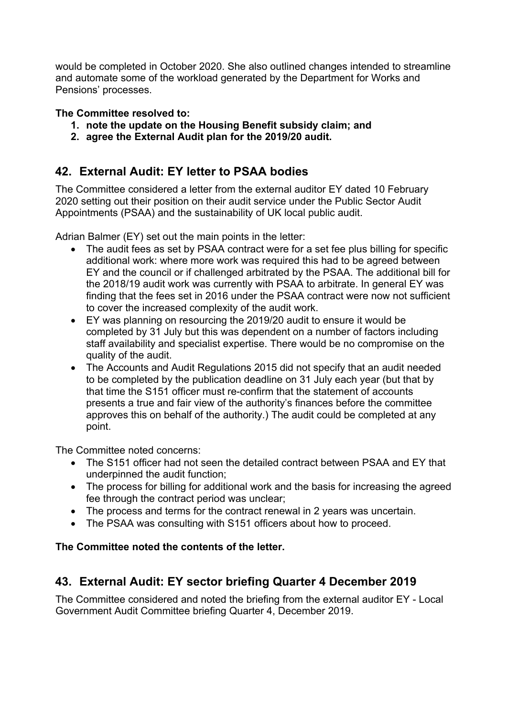would be completed in October 2020. She also outlined changes intended to streamline and automate some of the workload generated by the Department for Works and Pensions' processes.

#### **The Committee resolved to:**

- **1. note the update on the Housing Benefit subsidy claim; and**
- **2. agree the External Audit plan for the 2019/20 audit.**

### **42. External Audit: EY letter to PSAA bodies**

The Committee considered a letter from the external auditor EY dated 10 February 2020 setting out their position on their audit service under the Public Sector Audit Appointments (PSAA) and the sustainability of UK local public audit.

Adrian Balmer (EY) set out the main points in the letter:

- The audit fees as set by PSAA contract were for a set fee plus billing for specific additional work: where more work was required this had to be agreed between EY and the council or if challenged arbitrated by the PSAA. The additional bill for the 2018/19 audit work was currently with PSAA to arbitrate. In general EY was finding that the fees set in 2016 under the PSAA contract were now not sufficient to cover the increased complexity of the audit work.
- EY was planning on resourcing the 2019/20 audit to ensure it would be completed by 31 July but this was dependent on a number of factors including staff availability and specialist expertise. There would be no compromise on the quality of the audit.
- The Accounts and Audit Regulations 2015 did not specify that an audit needed to be completed by the publication deadline on 31 July each year (but that by that time the S151 officer must re-confirm that the statement of accounts presents a true and fair view of the authority's finances before the committee approves this on behalf of the authority.) The audit could be completed at any point.

The Committee noted concerns:

- The S151 officer had not seen the detailed contract between PSAA and EY that underpinned the audit function;
- The process for billing for additional work and the basis for increasing the agreed fee through the contract period was unclear;
- The process and terms for the contract renewal in 2 years was uncertain.
- The PSAA was consulting with S151 officers about how to proceed.

#### **The Committee noted the contents of the letter.**

## **43. External Audit: EY sector briefing Quarter 4 December 2019**

The Committee considered and noted the briefing from the external auditor EY - Local Government Audit Committee briefing Quarter 4, December 2019.